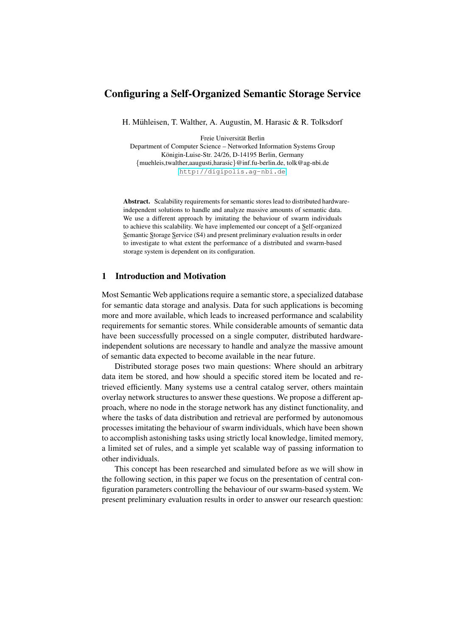# Configuring a Self-Organized Semantic Storage Service

H. Mühleisen, T. Walther, A. Augustin, M. Harasic & R. Tolksdorf

Freie Universitat Berlin ¨

Department of Computer Science – Networked Information Systems Group Königin-Luise-Str. 24/26, D-14195 Berlin, Germany {muehleis,twalther,aaugusti,harasic}@inf.fu-berlin.de, tolk@ag-nbi.de <http://digipolis.ag-nbi.de>

Abstract. Scalability requirements for semantic stores lead to distributed hardwareindependent solutions to handle and analyze massive amounts of semantic data. We use a different approach by imitating the behaviour of swarm individuals to achieve this scalability. We have implemented our concept of a Self-organized Semantic Storage Service (S4) and present preliminary evaluation results in order to investigate to what extent the performance of a distributed and swarm-based storage system is dependent on its configuration.

# 1 Introduction and Motivation

Most Semantic Web applications require a semantic store, a specialized database for semantic data storage and analysis. Data for such applications is becoming more and more available, which leads to increased performance and scalability requirements for semantic stores. While considerable amounts of semantic data have been successfully processed on a single computer, distributed hardwareindependent solutions are necessary to handle and analyze the massive amount of semantic data expected to become available in the near future.

Distributed storage poses two main questions: Where should an arbitrary data item be stored, and how should a specific stored item be located and retrieved efficiently. Many systems use a central catalog server, others maintain overlay network structures to answer these questions. We propose a different approach, where no node in the storage network has any distinct functionality, and where the tasks of data distribution and retrieval are performed by autonomous processes imitating the behaviour of swarm individuals, which have been shown to accomplish astonishing tasks using strictly local knowledge, limited memory, a limited set of rules, and a simple yet scalable way of passing information to other individuals.

This concept has been researched and simulated before as we will show in the following section, in this paper we focus on the presentation of central configuration parameters controlling the behaviour of our swarm-based system. We present preliminary evaluation results in order to answer our research question: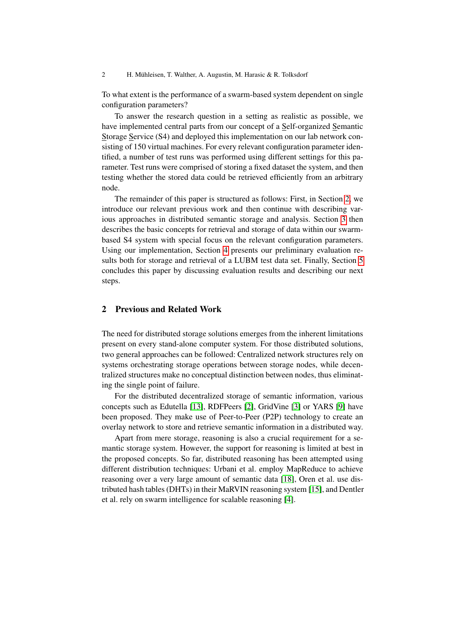2 H. Mühleisen, T. Walther, A. Augustin, M. Harasic & R. Tolksdorf

To what extent is the performance of a swarm-based system dependent on single configuration parameters?

To answer the research question in a setting as realistic as possible, we have implemented central parts from our concept of a Self-organized Semantic Storage Service (S4) and deployed this implementation on our lab network consisting of 150 virtual machines. For every relevant configuration parameter identified, a number of test runs was performed using different settings for this parameter. Test runs were comprised of storing a fixed dataset the system, and then testing whether the stored data could be retrieved efficiently from an arbitrary node.

The remainder of this paper is structured as follows: First, in Section [2,](#page-1-0) we introduce our relevant previous work and then continue with describing various approaches in distributed semantic storage and analysis. Section [3](#page-2-0) then describes the basic concepts for retrieval and storage of data within our swarmbased S4 system with special focus on the relevant configuration parameters. Using our implementation, Section [4](#page-6-0) presents our preliminary evaluation results both for storage and retrieval of a LUBM test data set. Finally, Section [5](#page-13-0) concludes this paper by discussing evaluation results and describing our next steps.

# <span id="page-1-0"></span>2 Previous and Related Work

The need for distributed storage solutions emerges from the inherent limitations present on every stand-alone computer system. For those distributed solutions, two general approaches can be followed: Centralized network structures rely on systems orchestrating storage operations between storage nodes, while decentralized structures make no conceptual distinction between nodes, thus eliminating the single point of failure.

For the distributed decentralized storage of semantic information, various concepts such as Edutella [\[13\]](#page-15-0), RDFPeers [\[2\]](#page-15-1), GridVine [\[3\]](#page-15-2) or YARS [\[9\]](#page-15-3) have been proposed. They make use of Peer-to-Peer (P2P) technology to create an overlay network to store and retrieve semantic information in a distributed way.

Apart from mere storage, reasoning is also a crucial requirement for a semantic storage system. However, the support for reasoning is limited at best in the proposed concepts. So far, distributed reasoning has been attempted using different distribution techniques: Urbani et al. employ MapReduce to achieve reasoning over a very large amount of semantic data [\[18\]](#page-15-4), Oren et al. use distributed hash tables (DHTs) in their MaRVIN reasoning system [\[15\]](#page-15-5), and Dentler et al. rely on swarm intelligence for scalable reasoning [\[4\]](#page-15-6).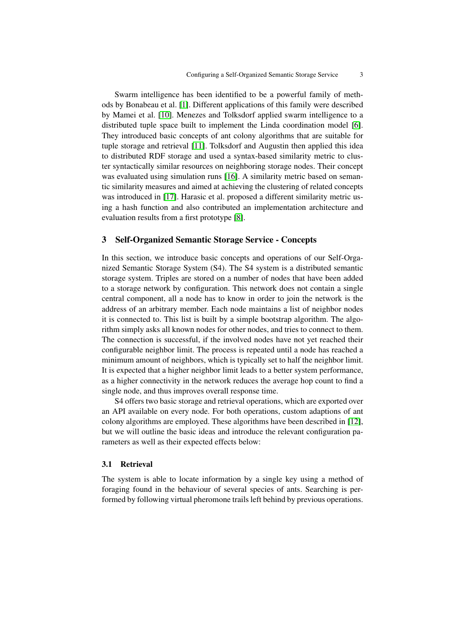Swarm intelligence has been identified to be a powerful family of methods by Bonabeau et al. [\[1\]](#page-14-0). Different applications of this family were described by Mamei et al. [\[10\]](#page-15-7). Menezes and Tolksdorf applied swarm intelligence to a distributed tuple space built to implement the Linda coordination model [\[6\]](#page-15-8). They introduced basic concepts of ant colony algorithms that are suitable for tuple storage and retrieval [\[11\]](#page-15-9). Tolksdorf and Augustin then applied this idea to distributed RDF storage and used a syntax-based similarity metric to cluster syntactically similar resources on neighboring storage nodes. Their concept was evaluated using simulation runs [\[16\]](#page-15-10). A similarity metric based on semantic similarity measures and aimed at achieving the clustering of related concepts was introduced in [\[17\]](#page-15-11). Harasic et al. proposed a different similarity metric using a hash function and also contributed an implementation architecture and evaluation results from a first prototype [\[8\]](#page-15-12).

# <span id="page-2-0"></span>3 Self-Organized Semantic Storage Service - Concepts

In this section, we introduce basic concepts and operations of our Self-Organized Semantic Storage System (S4). The S4 system is a distributed semantic storage system. Triples are stored on a number of nodes that have been added to a storage network by configuration. This network does not contain a single central component, all a node has to know in order to join the network is the address of an arbitrary member. Each node maintains a list of neighbor nodes it is connected to. This list is built by a simple bootstrap algorithm. The algorithm simply asks all known nodes for other nodes, and tries to connect to them. The connection is successful, if the involved nodes have not yet reached their configurable neighbor limit. The process is repeated until a node has reached a minimum amount of neighbors, which is typically set to half the neighbor limit. It is expected that a higher neighbor limit leads to a better system performance, as a higher connectivity in the network reduces the average hop count to find a single node, and thus improves overall response time.

S4 offers two basic storage and retrieval operations, which are exported over an API available on every node. For both operations, custom adaptions of ant colony algorithms are employed. These algorithms have been described in [\[12\]](#page-15-13), but we will outline the basic ideas and introduce the relevant configuration parameters as well as their expected effects below:

#### 3.1 Retrieval

The system is able to locate information by a single key using a method of foraging found in the behaviour of several species of ants. Searching is performed by following virtual pheromone trails left behind by previous operations.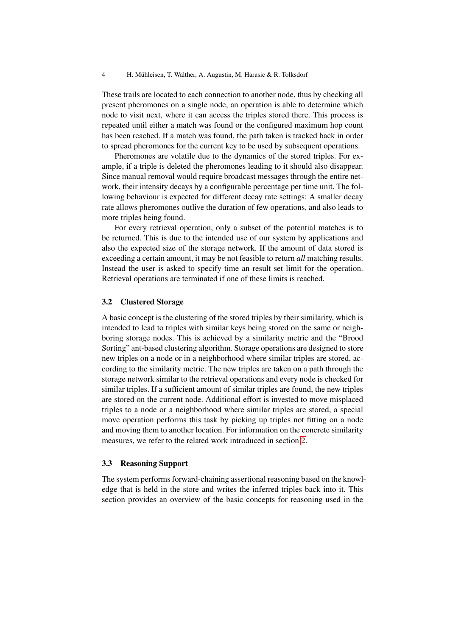These trails are located to each connection to another node, thus by checking all present pheromones on a single node, an operation is able to determine which node to visit next, where it can access the triples stored there. This process is repeated until either a match was found or the configured maximum hop count has been reached. If a match was found, the path taken is tracked back in order to spread pheromones for the current key to be used by subsequent operations.

Pheromones are volatile due to the dynamics of the stored triples. For example, if a triple is deleted the pheromones leading to it should also disappear. Since manual removal would require broadcast messages through the entire network, their intensity decays by a configurable percentage per time unit. The following behaviour is expected for different decay rate settings: A smaller decay rate allows pheromones outlive the duration of few operations, and also leads to more triples being found.

For every retrieval operation, only a subset of the potential matches is to be returned. This is due to the intended use of our system by applications and also the expected size of the storage network. If the amount of data stored is exceeding a certain amount, it may be not feasible to return *all* matching results. Instead the user is asked to specify time an result set limit for the operation. Retrieval operations are terminated if one of these limits is reached.

## 3.2 Clustered Storage

A basic concept is the clustering of the stored triples by their similarity, which is intended to lead to triples with similar keys being stored on the same or neighboring storage nodes. This is achieved by a similarity metric and the "Brood Sorting" ant-based clustering algorithm. Storage operations are designed to store new triples on a node or in a neighborhood where similar triples are stored, according to the similarity metric. The new triples are taken on a path through the storage network similar to the retrieval operations and every node is checked for similar triples. If a sufficient amount of similar triples are found, the new triples are stored on the current node. Additional effort is invested to move misplaced triples to a node or a neighborhood where similar triples are stored, a special move operation performs this task by picking up triples not fitting on a node and moving them to another location. For information on the concrete similarity measures, we refer to the related work introduced in section [2.](#page-1-0)

### 3.3 Reasoning Support

The system performs forward-chaining assertional reasoning based on the knowledge that is held in the store and writes the inferred triples back into it. This section provides an overview of the basic concepts for reasoning used in the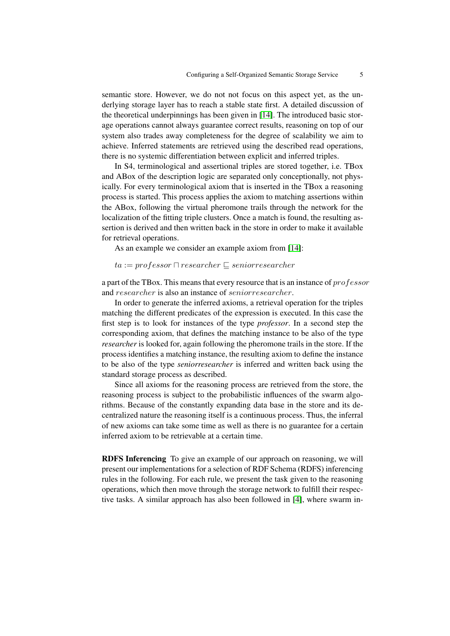semantic store. However, we do not not focus on this aspect yet, as the underlying storage layer has to reach a stable state first. A detailed discussion of the theoretical underpinnings has been given in [\[14\]](#page-15-14). The introduced basic storage operations cannot always guarantee correct results, reasoning on top of our system also trades away completeness for the degree of scalability we aim to achieve. Inferred statements are retrieved using the described read operations, there is no systemic differentiation between explicit and inferred triples.

In S4, terminological and assertional triples are stored together, i.e. TBox and ABox of the description logic are separated only conceptionally, not physically. For every terminological axiom that is inserted in the TBox a reasoning process is started. This process applies the axiom to matching assertions within the ABox, following the virtual pheromone trails through the network for the localization of the fitting triple clusters. Once a match is found, the resulting assertion is derived and then written back in the store in order to make it available for retrieval operations.

As an example we consider an example axiom from [\[14\]](#page-15-14):

 $ta := professor \sqcap researcher \sqsubseteq seniorresearcher$ 

a part of the TBox. This means that every resource that is an instance of professor and researcher is also an instance of seniorresearcher.

In order to generate the inferred axioms, a retrieval operation for the triples matching the different predicates of the expression is executed. In this case the first step is to look for instances of the type *professor*. In a second step the corresponding axiom, that defines the matching instance to be also of the type *researcher* is looked for, again following the pheromone trails in the store. If the process identifies a matching instance, the resulting axiom to define the instance to be also of the type *seniorresearcher* is inferred and written back using the standard storage process as described.

Since all axioms for the reasoning process are retrieved from the store, the reasoning process is subject to the probabilistic influences of the swarm algorithms. Because of the constantly expanding data base in the store and its decentralized nature the reasoning itself is a continuous process. Thus, the inferral of new axioms can take some time as well as there is no guarantee for a certain inferred axiom to be retrievable at a certain time.

RDFS Inferencing To give an example of our approach on reasoning, we will present our implementations for a selection of RDF Schema (RDFS) inferencing rules in the following. For each rule, we present the task given to the reasoning operations, which then move through the storage network to fulfill their respective tasks. A similar approach has also been followed in [\[4\]](#page-15-6), where swarm in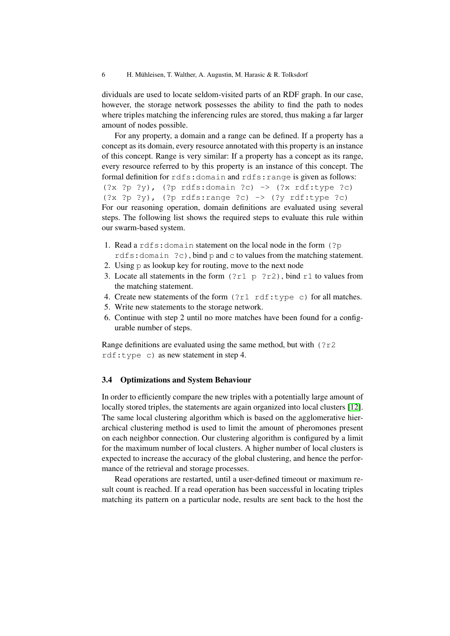dividuals are used to locate seldom-visited parts of an RDF graph. In our case, however, the storage network possesses the ability to find the path to nodes where triples matching the inferencing rules are stored, thus making a far larger amount of nodes possible.

For any property, a domain and a range can be defined. If a property has a concept as its domain, every resource annotated with this property is an instance of this concept. Range is very similar: If a property has a concept as its range, every resource referred to by this property is an instance of this concept. The formal definition for rdfs: domain and rdfs: range is given as follows: (?x ?p ?y), (?p rdfs:domain ?c) -> (?x rdf:type ?c)  $(?x ?p ?y)$ ,  $(?p rdfs:range ?c) -> (?y rdf:type ?c)$ For our reasoning operation, domain definitions are evaluated using several steps. The following list shows the required steps to evaluate this rule within

our swarm-based system.

- 1. Read a rdfs:domain statement on the local node in the form (?p rdfs:domain ?c), bind p and c to values from the matching statement.
- 2. Using p as lookup key for routing, move to the next node
- 3. Locate all statements in the form  $(2r1 p 2r2)$ , bind r1 to values from the matching statement.
- 4. Create new statements of the form (?r1 rdf:type c) for all matches.
- 5. Write new statements to the storage network.
- 6. Continue with step 2 until no more matches have been found for a configurable number of steps.

Range definitions are evaluated using the same method, but with  $(2r2)$ rdf:type c) as new statement in step 4.

### 3.4 Optimizations and System Behaviour

In order to efficiently compare the new triples with a potentially large amount of locally stored triples, the statements are again organized into local clusters [\[12\]](#page-15-13). The same local clustering algorithm which is based on the agglomerative hierarchical clustering method is used to limit the amount of pheromones present on each neighbor connection. Our clustering algorithm is configured by a limit for the maximum number of local clusters. A higher number of local clusters is expected to increase the accuracy of the global clustering, and hence the performance of the retrieval and storage processes.

Read operations are restarted, until a user-defined timeout or maximum result count is reached. If a read operation has been successful in locating triples matching its pattern on a particular node, results are sent back to the host the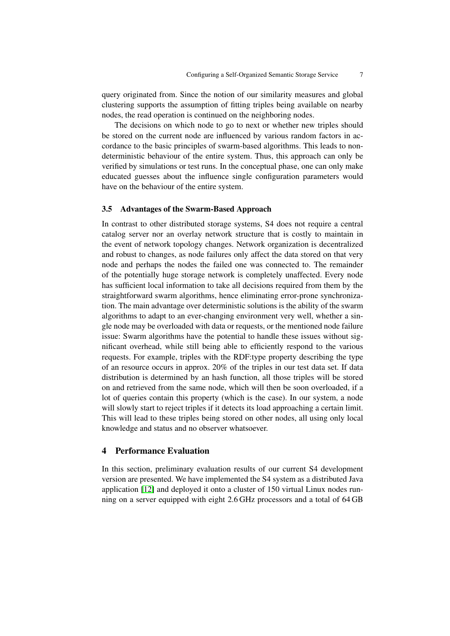query originated from. Since the notion of our similarity measures and global clustering supports the assumption of fitting triples being available on nearby nodes, the read operation is continued on the neighboring nodes.

The decisions on which node to go to next or whether new triples should be stored on the current node are influenced by various random factors in accordance to the basic principles of swarm-based algorithms. This leads to nondeterministic behaviour of the entire system. Thus, this approach can only be verified by simulations or test runs. In the conceptual phase, one can only make educated guesses about the influence single configuration parameters would have on the behaviour of the entire system.

#### 3.5 Advantages of the Swarm-Based Approach

In contrast to other distributed storage systems, S4 does not require a central catalog server nor an overlay network structure that is costly to maintain in the event of network topology changes. Network organization is decentralized and robust to changes, as node failures only affect the data stored on that very node and perhaps the nodes the failed one was connected to. The remainder of the potentially huge storage network is completely unaffected. Every node has sufficient local information to take all decisions required from them by the straightforward swarm algorithms, hence eliminating error-prone synchronization. The main advantage over deterministic solutions is the ability of the swarm algorithms to adapt to an ever-changing environment very well, whether a single node may be overloaded with data or requests, or the mentioned node failure issue: Swarm algorithms have the potential to handle these issues without significant overhead, while still being able to efficiently respond to the various requests. For example, triples with the RDF:type property describing the type of an resource occurs in approx. 20% of the triples in our test data set. If data distribution is determined by an hash function, all those triples will be stored on and retrieved from the same node, which will then be soon overloaded, if a lot of queries contain this property (which is the case). In our system, a node will slowly start to reject triples if it detects its load approaching a certain limit. This will lead to these triples being stored on other nodes, all using only local knowledge and status and no observer whatsoever.

# <span id="page-6-0"></span>4 Performance Evaluation

In this section, preliminary evaluation results of our current S4 development version are presented. We have implemented the S4 system as a distributed Java application [\[12\]](#page-15-13) and deployed it onto a cluster of 150 virtual Linux nodes running on a server equipped with eight 2.6 GHz processors and a total of 64 GB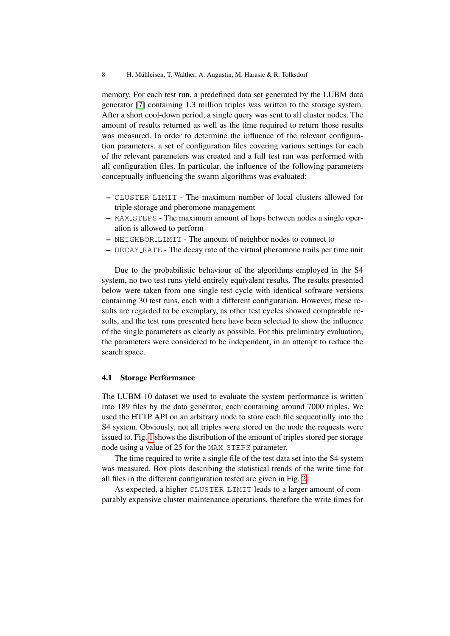memory. For each test run, a predefined data set generated by the LUBM data generator [\[7\]](#page-15-15) containing 1.3 million triples was written to the storage system. After a short cool-down period, a single query was sent to all cluster nodes. The amount of results returned as well as the time required to return those results was measured. In order to determine the influence of the relevant configuration parameters, a set of configuration files covering various settings for each of the relevant parameters was created and a full test run was performed with all configuration files. In particular, the influence of the following parameters conceptually influencing the swarm algorithms was evaluated:

- CLUSTER LIMIT The maximum number of local clusters allowed for triple storage and pheromone management
- MAX STEPS The maximum amount of hops between nodes a single operation is allowed to perform
- NEIGHBOR LIMIT The amount of neighbor nodes to connect to
- DECAY RATE The decay rate of the virtual pheromone trails per time unit

Due to the probabilistic behaviour of the algorithms employed in the S4 system, no two test runs yield entirely equivalent results. The results presented below were taken from one single test cycle with identical software versions containing 30 test runs, each with a different configuration. However, these results are regarded to be exemplary, as other test cycles showed comparable results, and the test runs presented here have been selected to show the influence of the single parameters as clearly as possible. For this preliminary evaluation, the parameters were considered to be independent, in an attempt to reduce the search space.

## 4.1 Storage Performance

The LUBM-10 dataset we used to evaluate the system performance is written into 189 files by the data generator, each containing around 7000 triples. We used the HTTP API on an arbitrary node to store each file sequentially into the S4 system. Obviously, not all triples were stored on the node the requests were issued to. Fig. [1](#page-8-0) shows the distribution of the amount of triples stored per storage node using a value of 25 for the MAX\_STEPS parameter.

The time required to write a single file of the test data set into the S4 system was measured. Box plots describing the statistical trends of the write time for all files in the different configuration tested are given in Fig. [2:](#page-8-1)

As expected, a higher CLUSTER LIMIT leads to a larger amount of comparably expensive cluster maintenance operations, therefore the write times for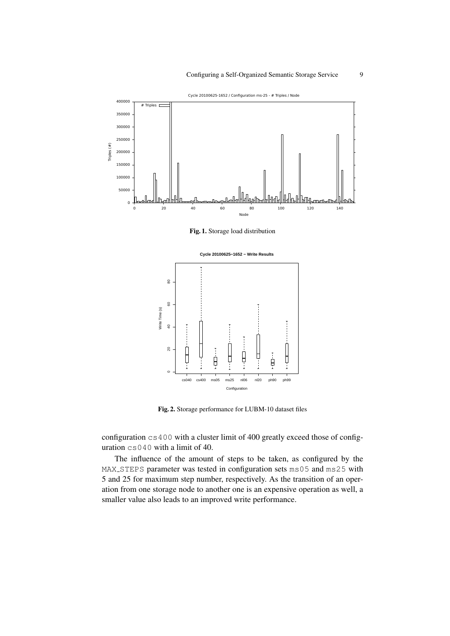

<span id="page-8-0"></span>Fig. 1. Storage load distribution



<span id="page-8-1"></span>Fig. 2. Storage performance for LUBM-10 dataset files

configuration cs400 with a cluster limit of 400 greatly exceed those of configuration cs040 with a limit of 40.

The influence of the amount of steps to be taken, as configured by the MAX STEPS parameter was tested in configuration sets ms05 and ms25 with 5 and 25 for maximum step number, respectively. As the transition of an operation from one storage node to another one is an expensive operation as well, a smaller value also leads to an improved write performance.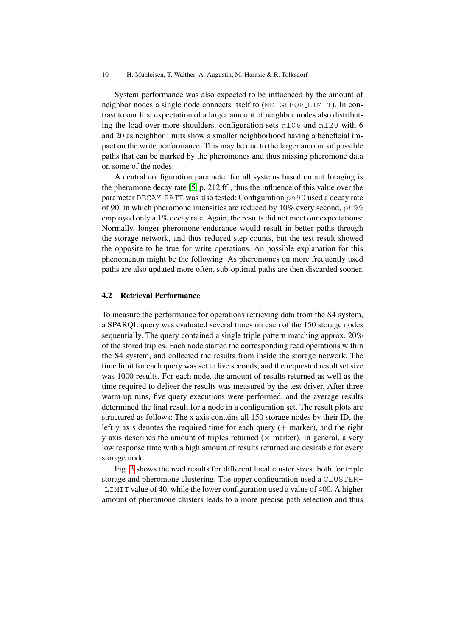System performance was also expected to be influenced by the amount of neighbor nodes a single node connects itself to (NEIGHBOR LIMIT). In contrast to our first expectation of a larger amount of neighbor nodes also distributing the load over more shoulders, configuration sets  $n106$  and  $n120$  with 6 and 20 as neighbor limits show a smaller neighborhood having a beneficial impact on the write performance. This may be due to the larger amount of possible paths that can be marked by the pheromones and thus missing pheromone data on some of the nodes.

A central configuration parameter for all systems based on ant foraging is the pheromone decay rate [\[5,](#page-15-16) p. 212 ff], thus the influence of this value over the parameter DECAY RATE was also tested: Configuration ph90 used a decay rate of 90, in which pheromone intensities are reduced by 10% every second, ph99 employed only a 1% decay rate. Again, the results did not meet our expectations: Normally, longer pheromone endurance would result in better paths through the storage network, and thus reduced step counts, but the test result showed the opposite to be true for write operations. An possible explanation for this phenomenon might be the following: As pheromones on more frequently used paths are also updated more often, sub-optimal paths are then discarded sooner.

## 4.2 Retrieval Performance

To measure the performance for operations retrieving data from the S4 system, a SPARQL query was evaluated several times on each of the 150 storage nodes sequentially. The query contained a single triple pattern matching approx. 20% of the stored triples. Each node started the corresponding read operations within the S4 system, and collected the results from inside the storage network. The time limit for each query was set to five seconds, and the requested result set size was 1000 results. For each node, the amount of results returned as well as the time required to deliver the results was measured by the test driver. After three warm-up runs, five query executions were performed, and the average results determined the final result for a node in a configuration set. The result plots are structured as follows: The x axis contains all 150 storage nodes by their ID, the left y axis denotes the required time for each query  $(+)$  marker), and the right y axis describes the amount of triples returned ( $\times$  marker). In general, a very low response time with a high amount of results returned are desirable for every storage node.

Fig. [3](#page-10-0) shows the read results for different local cluster sizes, both for triple storage and pheromone clustering. The upper configuration used a CLUSTER-LIMIT value of 40, while the lower configuration used a value of 400. A higher amount of pheromone clusters leads to a more precise path selection and thus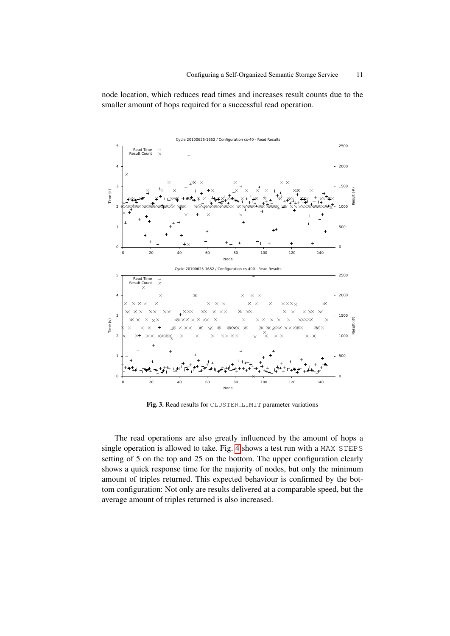node location, which reduces read times and increases result counts due to the smaller amount of hops required for a successful read operation.



<span id="page-10-0"></span>Fig. 3. Read results for CLUSTER LIMIT parameter variations

The read operations are also greatly influenced by the amount of hops a single operation is allowed to take. Fig. [4](#page-11-0) shows a test run with a MAX\_STEPS setting of 5 on the top and 25 on the bottom. The upper configuration clearly shows a quick response time for the majority of nodes, but only the minimum amount of triples returned. This expected behaviour is confirmed by the bottom configuration: Not only are results delivered at a comparable speed, but the average amount of triples returned is also increased.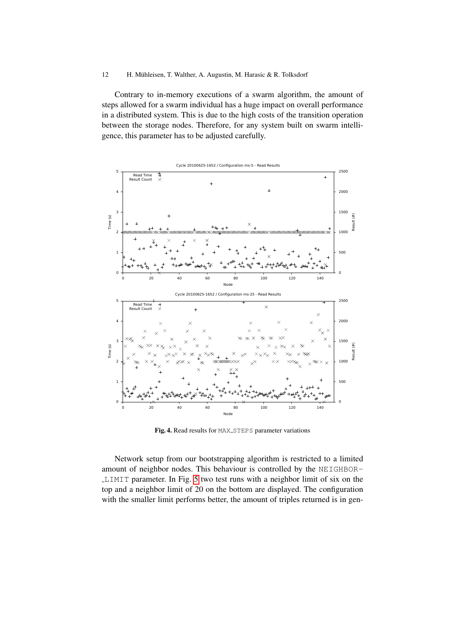### 12 H. Mühleisen, T. Walther, A. Augustin, M. Harasic & R. Tolksdorf

Contrary to in-memory executions of a swarm algorithm, the amount of steps allowed for a swarm individual has a huge impact on overall performance in a distributed system. This is due to the high costs of the transition operation between the storage nodes. Therefore, for any system built on swarm intelligence, this parameter has to be adjusted carefully.



<span id="page-11-0"></span>Fig. 4. Read results for MAX\_STEPS parameter variations

Network setup from our bootstrapping algorithm is restricted to a limited amount of neighbor nodes. This behaviour is controlled by the NEIGHBOR-LIMIT parameter. In Fig. [5](#page-12-0) two test runs with a neighbor limit of six on the top and a neighbor limit of 20 on the bottom are displayed. The configuration with the smaller limit performs better, the amount of triples returned is in gen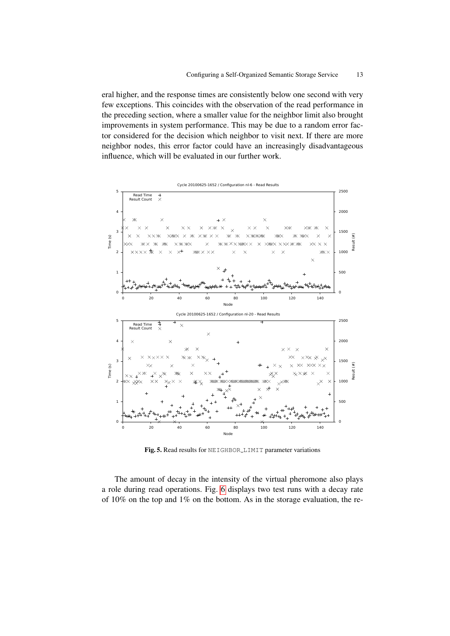eral higher, and the response times are consistently below one second with very few exceptions. This coincides with the observation of the read performance in the preceding section, where a smaller value for the neighbor limit also brought improvements in system performance. This may be due to a random error factor considered for the decision which neighbor to visit next. If there are more neighbor nodes, this error factor could have an increasingly disadvantageous influence, which will be evaluated in our further work.



<span id="page-12-0"></span>Fig. 5. Read results for NEIGHBOR LIMIT parameter variations

The amount of decay in the intensity of the virtual pheromone also plays a role during read operations. Fig. [6](#page-13-1) displays two test runs with a decay rate of 10% on the top and 1% on the bottom. As in the storage evaluation, the re-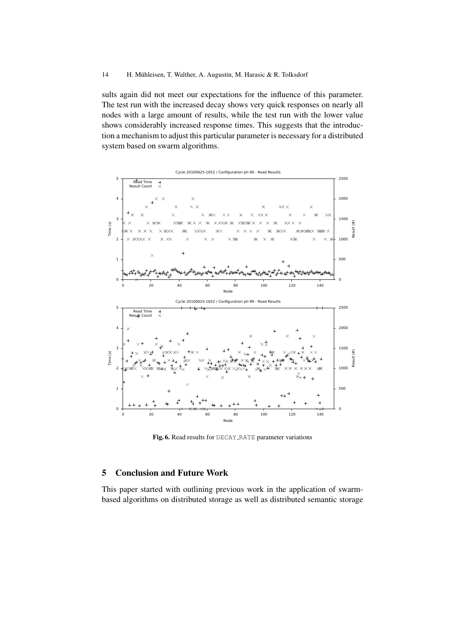### 14 H. Mühleisen, T. Walther, A. Augustin, M. Harasic & R. Tolksdorf

sults again did not meet our expectations for the influence of this parameter. The test run with the increased decay shows very quick responses on nearly all nodes with a large amount of results, while the test run with the lower value shows considerably increased response times. This suggests that the introduction a mechanism to adjust this particular parameter is necessary for a distributed system based on swarm algorithms.



<span id="page-13-1"></span>Fig. 6. Read results for DECAY\_RATE parameter variations

# <span id="page-13-0"></span>5 Conclusion and Future Work

This paper started with outlining previous work in the application of swarmbased algorithms on distributed storage as well as distributed semantic storage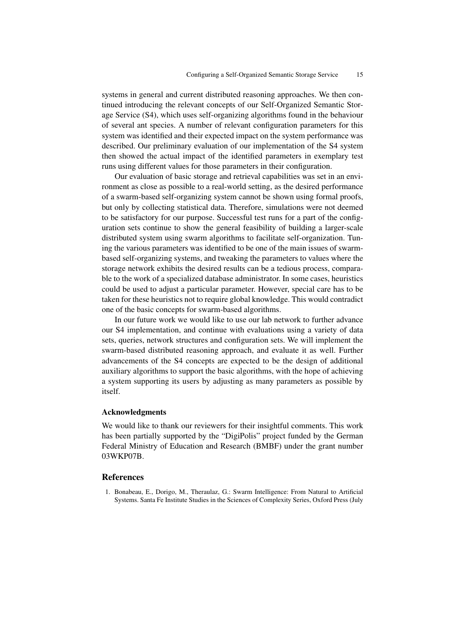systems in general and current distributed reasoning approaches. We then continued introducing the relevant concepts of our Self-Organized Semantic Storage Service (S4), which uses self-organizing algorithms found in the behaviour of several ant species. A number of relevant configuration parameters for this system was identified and their expected impact on the system performance was described. Our preliminary evaluation of our implementation of the S4 system then showed the actual impact of the identified parameters in exemplary test runs using different values for those parameters in their configuration.

Our evaluation of basic storage and retrieval capabilities was set in an environment as close as possible to a real-world setting, as the desired performance of a swarm-based self-organizing system cannot be shown using formal proofs, but only by collecting statistical data. Therefore, simulations were not deemed to be satisfactory for our purpose. Successful test runs for a part of the configuration sets continue to show the general feasibility of building a larger-scale distributed system using swarm algorithms to facilitate self-organization. Tuning the various parameters was identified to be one of the main issues of swarmbased self-organizing systems, and tweaking the parameters to values where the storage network exhibits the desired results can be a tedious process, comparable to the work of a specialized database administrator. In some cases, heuristics could be used to adjust a particular parameter. However, special care has to be taken for these heuristics not to require global knowledge. This would contradict one of the basic concepts for swarm-based algorithms.

In our future work we would like to use our lab network to further advance our S4 implementation, and continue with evaluations using a variety of data sets, queries, network structures and configuration sets. We will implement the swarm-based distributed reasoning approach, and evaluate it as well. Further advancements of the S4 concepts are expected to be the design of additional auxiliary algorithms to support the basic algorithms, with the hope of achieving a system supporting its users by adjusting as many parameters as possible by itself.

## Acknowledgments

We would like to thank our reviewers for their insightful comments. This work has been partially supported by the "DigiPolis" project funded by the German Federal Ministry of Education and Research (BMBF) under the grant number 03WKP07B.

#### References

<span id="page-14-0"></span>1. Bonabeau, E., Dorigo, M., Theraulaz, G.: Swarm Intelligence: From Natural to Artificial Systems. Santa Fe Institute Studies in the Sciences of Complexity Series, Oxford Press (July